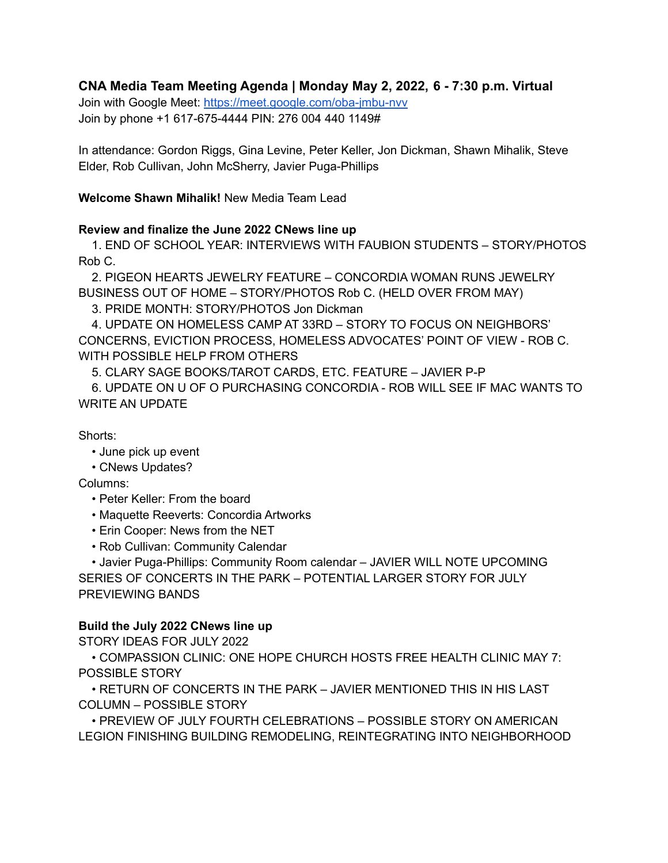# **CNA Media Team Meeting Agenda | Monday May 2, 2022, 6 - 7:30 p.m. Virtual**

Join with Google Meet: <https://meet.google.com/oba-jmbu-nvv> Join by phone +1 617-675-4444 PIN: 276 004 440 1149#

In attendance: Gordon Riggs, Gina Levine, Peter Keller, Jon Dickman, Shawn Mihalik, Steve Elder, Rob Cullivan, John McSherry, Javier Puga-Phillips

## **Welcome Shawn Mihalik!** New Media Team Lead

### **Review and finalize the June 2022 CNews line up**

1. END OF SCHOOL YEAR: INTERVIEWS WITH FAUBION STUDENTS – STORY/PHOTOS Rob C.

2. PIGEON HEARTS JEWELRY FEATURE – CONCORDIA WOMAN RUNS JEWELRY BUSINESS OUT OF HOME – STORY/PHOTOS Rob C. (HELD OVER FROM MAY)

3. PRIDE MONTH: STORY/PHOTOS Jon Dickman

4. UPDATE ON HOMELESS CAMP AT 33RD – STORY TO FOCUS ON NEIGHBORS' CONCERNS, EVICTION PROCESS, HOMELESS ADVOCATES' POINT OF VIEW - ROB C. WITH POSSIBLE HELP FROM OTHERS

5. CLARY SAGE BOOKS/TAROT CARDS, ETC. FEATURE – JAVIER P-P

6. UPDATE ON U OF O PURCHASING CONCORDIA - ROB WILL SEE IF MAC WANTS TO WRITE AN UPDATE

Shorts:

- June pick up event
- CNews Updates?

Columns:

- Peter Keller: From the board
- Maquette Reeverts: Concordia Artworks
- Erin Cooper: News from the NET
- Rob Cullivan: Community Calendar

• Javier Puga-Phillips: Community Room calendar – JAVIER WILL NOTE UPCOMING SERIES OF CONCERTS IN THE PARK – POTENTIAL LARGER STORY FOR JULY PREVIEWING BANDS

# **Build the July 2022 CNews line up**

STORY IDEAS FOR JULY 2022

• COMPASSION CLINIC: ONE HOPE CHURCH HOSTS FREE HEALTH CLINIC MAY 7: POSSIBLE STORY

• RETURN OF CONCERTS IN THE PARK – JAVIER MENTIONED THIS IN HIS LAST COLUMN – POSSIBLE STORY

• PREVIEW OF JULY FOURTH CELEBRATIONS – POSSIBLE STORY ON AMERICAN LEGION FINISHING BUILDING REMODELING, REINTEGRATING INTO NEIGHBORHOOD